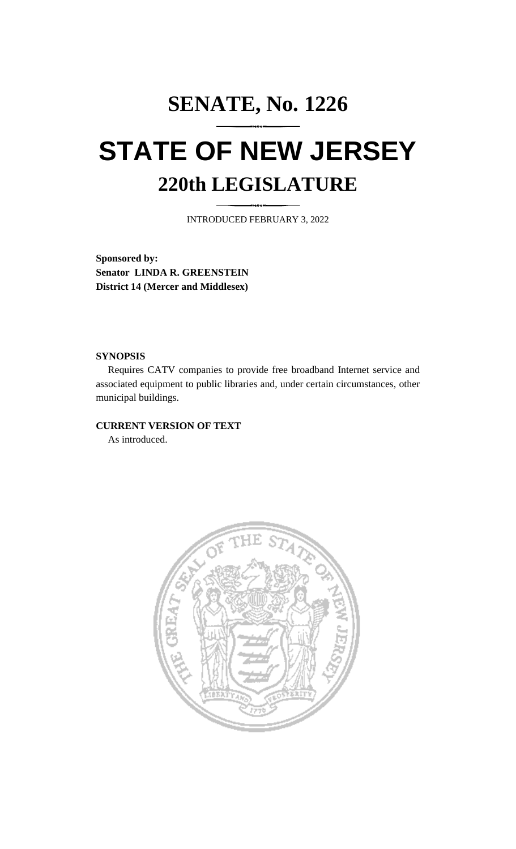# **SENATE, No. 1226 STATE OF NEW JERSEY 220th LEGISLATURE**

INTRODUCED FEBRUARY 3, 2022

**Sponsored by: Senator LINDA R. GREENSTEIN District 14 (Mercer and Middlesex)**

#### **SYNOPSIS**

Requires CATV companies to provide free broadband Internet service and associated equipment to public libraries and, under certain circumstances, other municipal buildings.

### **CURRENT VERSION OF TEXT**

As introduced.

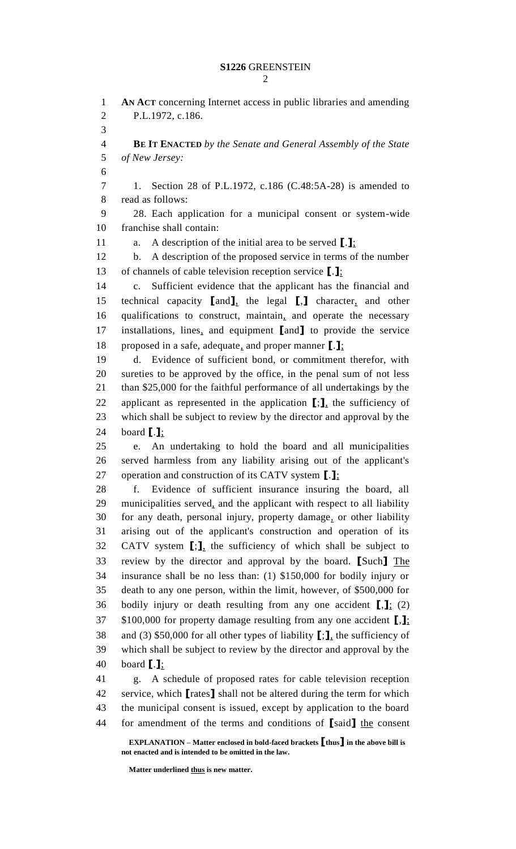## **S1226** GREENSTEIN

 **AN ACT** concerning Internet access in public libraries and amending P.L.1972, c.186. **BE IT ENACTED** *by the Senate and General Assembly of the State of New Jersey:* 1. Section 28 of P.L.1972, c.186 (C.48:5A-28) is amended to read as follows: 28. Each application for a municipal consent or system-wide franchise shall contain: a. A description of the initial area to be served **[**.**]**; b. A description of the proposed service in terms of the number of channels of cable television reception service **[**.**]**; c. Sufficient evidence that the applicant has the financial and technical capacity **[**and**]**, the legal **[**,**]** character, and other qualifications to construct, maintain, and operate the necessary installations, lines, and equipment **[**and**]** to provide the service proposed in a safe, adequate, and proper manner **[**.**]**; d. Evidence of sufficient bond, or commitment therefor, with sureties to be approved by the office, in the penal sum of not less than \$25,000 for the faithful performance of all undertakings by the applicant as represented in the application **[**;**]**, the sufficiency of which shall be subject to review by the director and approval by the board **[**.**]**; e. An undertaking to hold the board and all municipalities served harmless from any liability arising out of the applicant's operation and construction of its CATV system **[**.**]**; f. Evidence of sufficient insurance insuring the board, all municipalities served, and the applicant with respect to all liability for any death, personal injury, property damage, or other liability arising out of the applicant's construction and operation of its CATV system **[**;**]**, the sufficiency of which shall be subject to review by the director and approval by the board. **[**Such**]** The insurance shall be no less than: (1) \$150,000 for bodily injury or death to any one person, within the limit, however, of \$500,000 for bodily injury or death resulting from any one accident **[**,**]**; (2) \$100,000 for property damage resulting from any one accident **[**,**]**; and (3) \$50,000 for all other types of liability **[**;**]**, the sufficiency of which shall be subject to review by the director and approval by the board **[**.**]**; g. A schedule of proposed rates for cable television reception service, which **[**rates**]** shall not be altered during the term for which the municipal consent is issued, except by application to the board for amendment of the terms and conditions of **[**said**]** the consent

**EXPLANATION – Matter enclosed in bold-faced brackets [thus] in the above bill is not enacted and is intended to be omitted in the law.**

**Matter underlined thus is new matter.**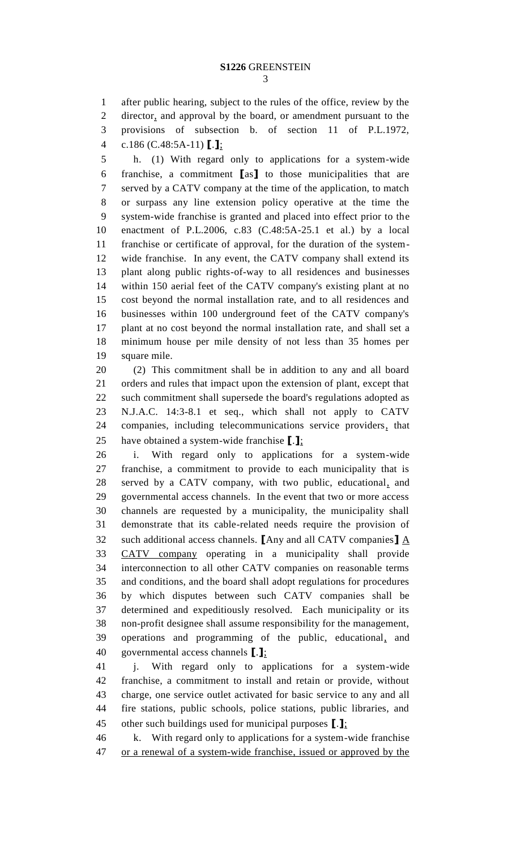after public hearing, subject to the rules of the office, review by the director, and approval by the board, or amendment pursuant to the provisions of subsection b. of section 11 of P.L.1972, c.186 (C.48:5A-11) **[**.**]**;

 h. (1) With regard only to applications for a system-wide franchise, a commitment **[**as**]** to those municipalities that are served by a CATV company at the time of the application, to match or surpass any line extension policy operative at the time the system-wide franchise is granted and placed into effect prior to the enactment of P.L.2006, c.83 (C.48:5A-25.1 et al.) by a local franchise or certificate of approval, for the duration of the system- wide franchise. In any event, the CATV company shall extend its plant along public rights-of-way to all residences and businesses within 150 aerial feet of the CATV company's existing plant at no cost beyond the normal installation rate, and to all residences and businesses within 100 underground feet of the CATV company's plant at no cost beyond the normal installation rate, and shall set a minimum house per mile density of not less than 35 homes per square mile.

 (2) This commitment shall be in addition to any and all board orders and rules that impact upon the extension of plant, except that such commitment shall supersede the board's regulations adopted as N.J.A.C. 14:3-8.1 et seq., which shall not apply to CATV companies, including telecommunications service providers, that have obtained a system-wide franchise **[**.**]**;

 i. With regard only to applications for a system-wide franchise, a commitment to provide to each municipality that is served by a CATV company, with two public, educational, and governmental access channels. In the event that two or more access channels are requested by a municipality, the municipality shall demonstrate that its cable-related needs require the provision of such additional access channels. **[**Any and all CATV companies**]** A CATV company operating in a municipality shall provide interconnection to all other CATV companies on reasonable terms and conditions, and the board shall adopt regulations for procedures by which disputes between such CATV companies shall be determined and expeditiously resolved. Each municipality or its non-profit designee shall assume responsibility for the management, operations and programming of the public, educational, and governmental access channels **[**.**]**;

 j. With regard only to applications for a system-wide franchise, a commitment to install and retain or provide, without charge, one service outlet activated for basic service to any and all fire stations, public schools, police stations, public libraries, and other such buildings used for municipal purposes **[**.**]**;

 k. With regard only to applications for a system-wide franchise or a renewal of a system-wide franchise, issued or approved by the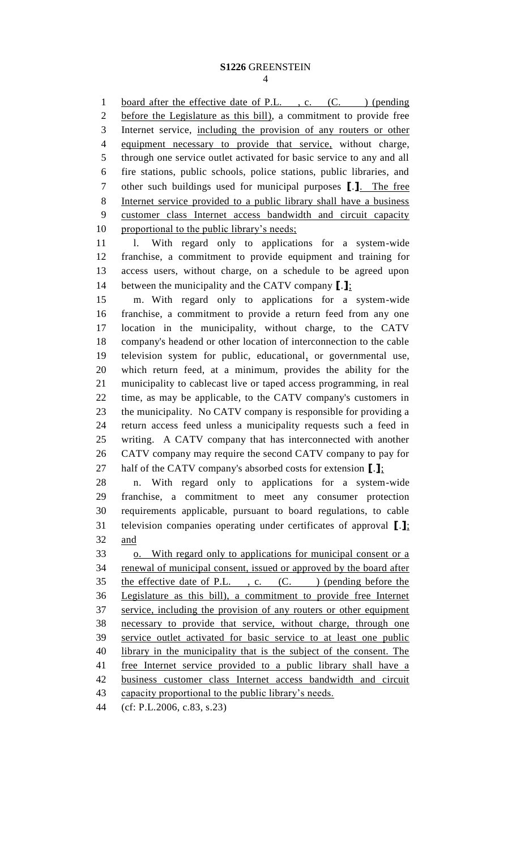1 board after the effective date of P.L., c. (C.) (pending before the Legislature as this bill), a commitment to provide free Internet service, including the provision of any routers or other equipment necessary to provide that service, without charge, through one service outlet activated for basic service to any and all fire stations, public schools, police stations, public libraries, and other such buildings used for municipal purposes **[**.**]**. The free Internet service provided to a public library shall have a business customer class Internet access bandwidth and circuit capacity proportional to the public library's needs;

 l. With regard only to applications for a system-wide franchise, a commitment to provide equipment and training for access users, without charge, on a schedule to be agreed upon between the municipality and the CATV company **[**.**]**;

 m. With regard only to applications for a system-wide franchise, a commitment to provide a return feed from any one location in the municipality, without charge, to the CATV company's headend or other location of interconnection to the cable television system for public, educational, or governmental use, which return feed, at a minimum, provides the ability for the municipality to cablecast live or taped access programming, in real time, as may be applicable, to the CATV company's customers in the municipality. No CATV company is responsible for providing a return access feed unless a municipality requests such a feed in writing. A CATV company that has interconnected with another CATV company may require the second CATV company to pay for half of the CATV company's absorbed costs for extension **[**.**]**;

 n. With regard only to applications for a system-wide franchise, a commitment to meet any consumer protection requirements applicable, pursuant to board regulations, to cable television companies operating under certificates of approval **[**.**]**; and

 o. With regard only to applications for municipal consent or a renewal of municipal consent, issued or approved by the board after 35 the effective date of P.L., c. (C.) (pending before the Legislature as this bill), a commitment to provide free Internet service, including the provision of any routers or other equipment necessary to provide that service, without charge, through one service outlet activated for basic service to at least one public library in the municipality that is the subject of the consent. The 41 free Internet service provided to a public library shall have a business customer class Internet access bandwidth and circuit 43 capacity proportional to the public library's needs.

(cf: P.L.2006, c.83, s.23)